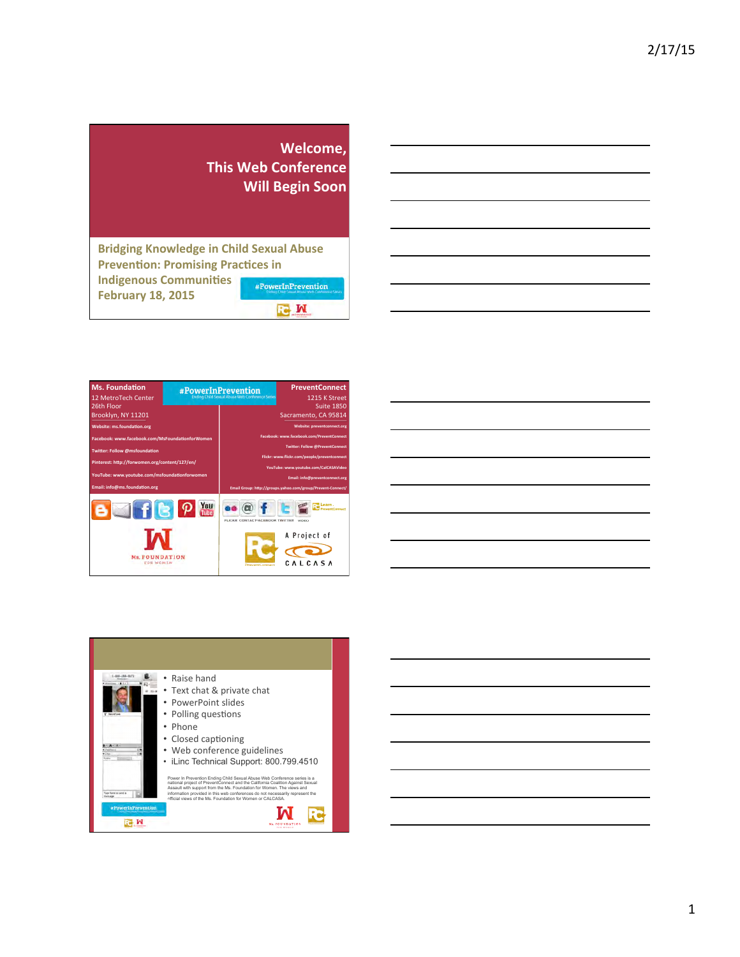|                                                                                              | Welcome,<br><b>This Web Conference</b><br><b>Will Begin Soon</b> |  |  |  |
|----------------------------------------------------------------------------------------------|------------------------------------------------------------------|--|--|--|
| <b>Bridging Knowledge in Child Sexual Abuse</b><br><b>Prevention: Promising Practices in</b> |                                                                  |  |  |  |
| <b>Indigenous Communities</b><br><b>February 18, 2015</b>                                    | #PowerInPrevention                                               |  |  |  |
|                                                                                              |                                                                  |  |  |  |

| the control of the control of the control of the control of the control of                                             |  |                          |
|------------------------------------------------------------------------------------------------------------------------|--|--------------------------|
| <u> 1989 - Johann Stoff, deutscher Stoffen und der Stoffen und der Stoffen und der Stoffen und der Stoffen und der</u> |  | $\overline{\phantom{a}}$ |
| and the contract of the contract of the contract of the contract of the contract of the contract of the contract of    |  |                          |
|                                                                                                                        |  |                          |
|                                                                                                                        |  |                          |
|                                                                                                                        |  |                          |
|                                                                                                                        |  |                          |







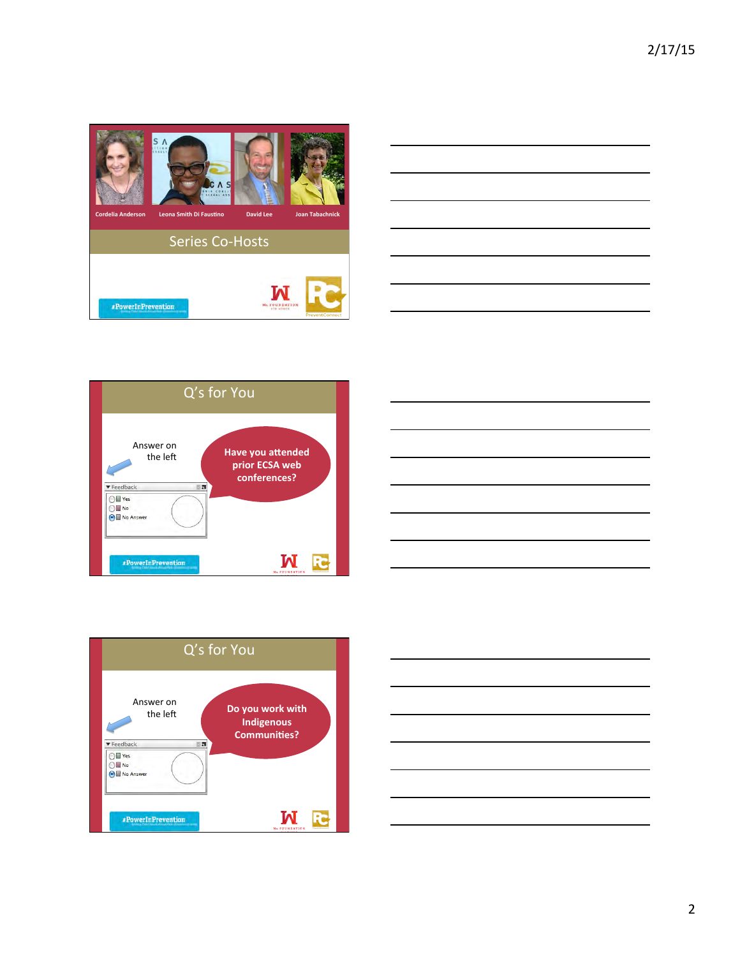









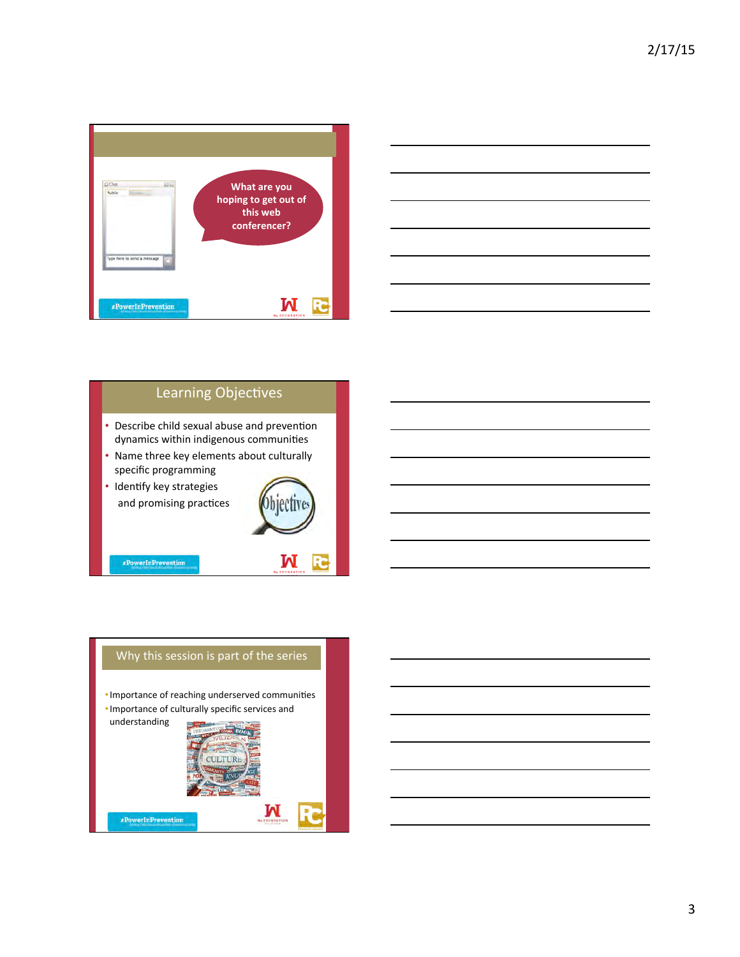



## Learning Objectives

- Describe child sexual abuse and prevention dynamics within indigenous communities
- Name three key elements about culturally specific programming
- Identify key strategies and promising practices

 ${\small \#PowerInPrevention}$ 



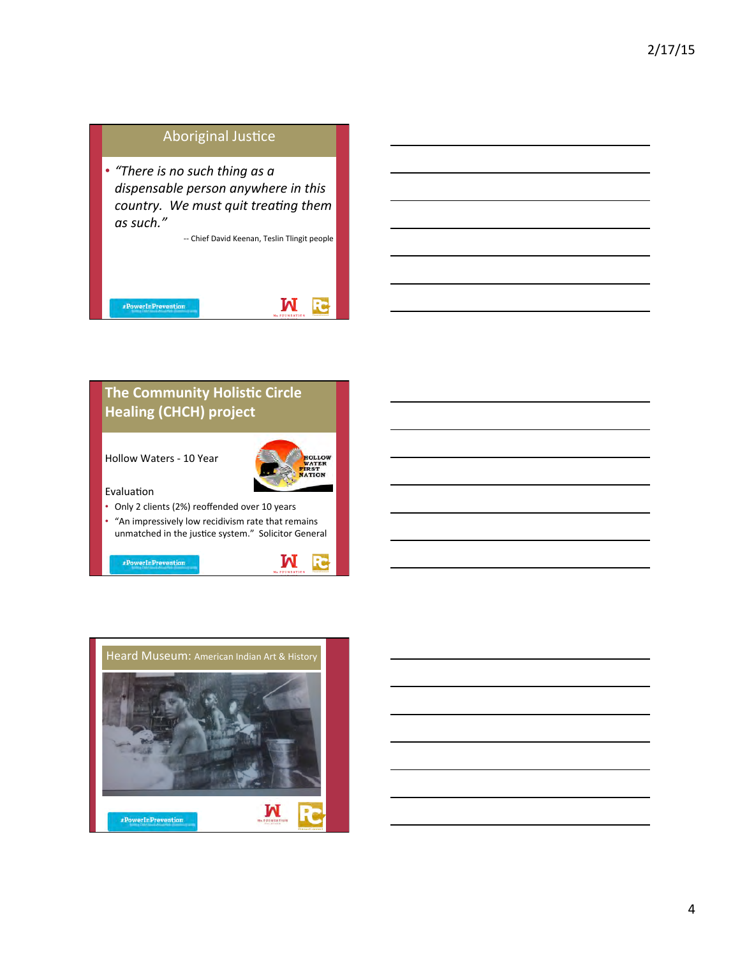## Aboriginal Justice

• "There is no such thing as a dispensable person anywhere in this *country.* We must quit treating them as such."

-- Chief David Keenan, Teslin Tlingit people





M

**R** 

## **The Community Holistic Circle Healing (CHCH) project**

Hollow Waters - 10 Year

#PowerInPrevention



Evaluation

- Only 2 clients (2%) reoffended over 10 years
- "An impressively low recidivism rate that remains unmatched in the justice system." Solicitor General



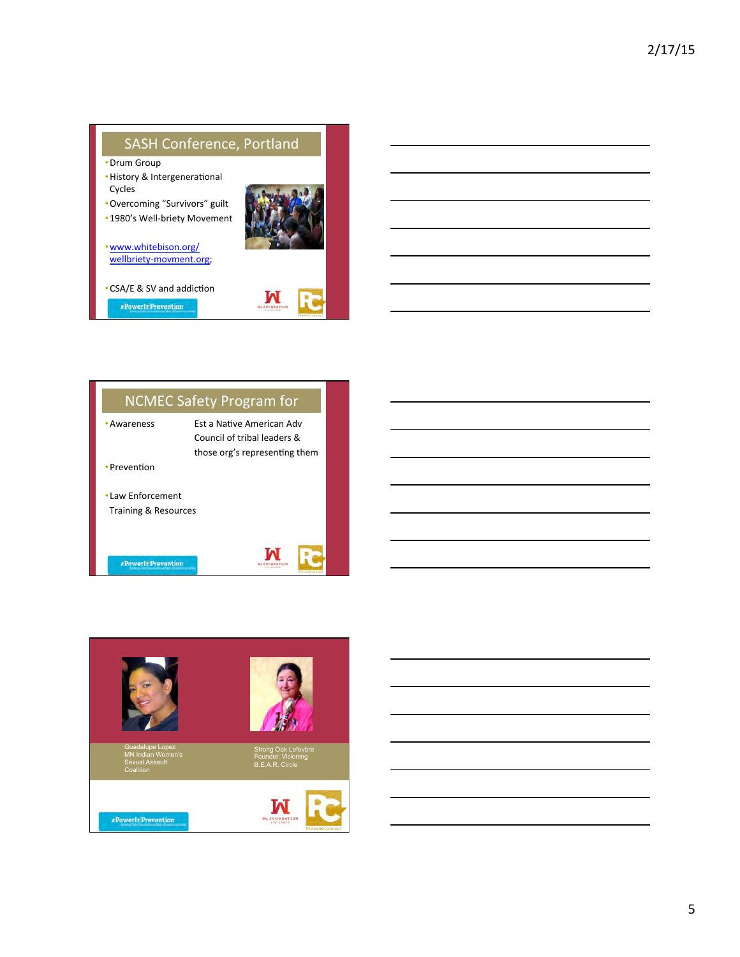



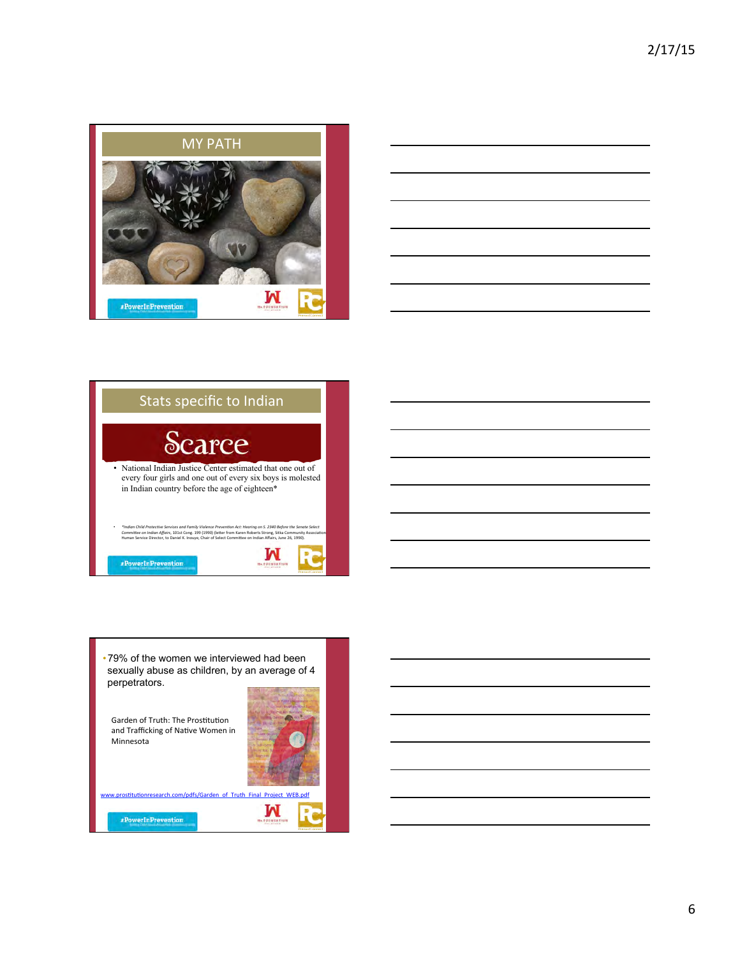







6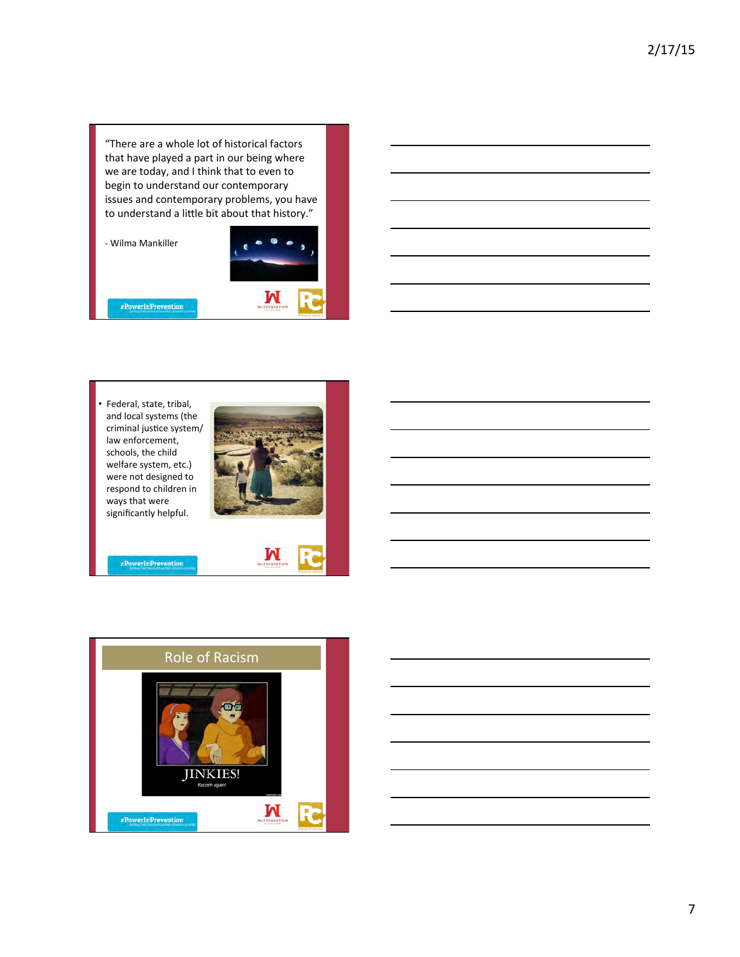"There are a whole lot of historical factors that have played a part in our being where we are today, and I think that to even to begin to understand our contemporary issues and contemporary problems, you have to understand a little bit about that history."

- Wilma Mankiller

#PowerInPrevention



Federal, state, tribal, and local systems (the criminal justice system/ law enforcement, schools, the child welfare system, etc.) were not designed to respond to children in ways that were significantly helpful.



 $\mathbf{M}$ 



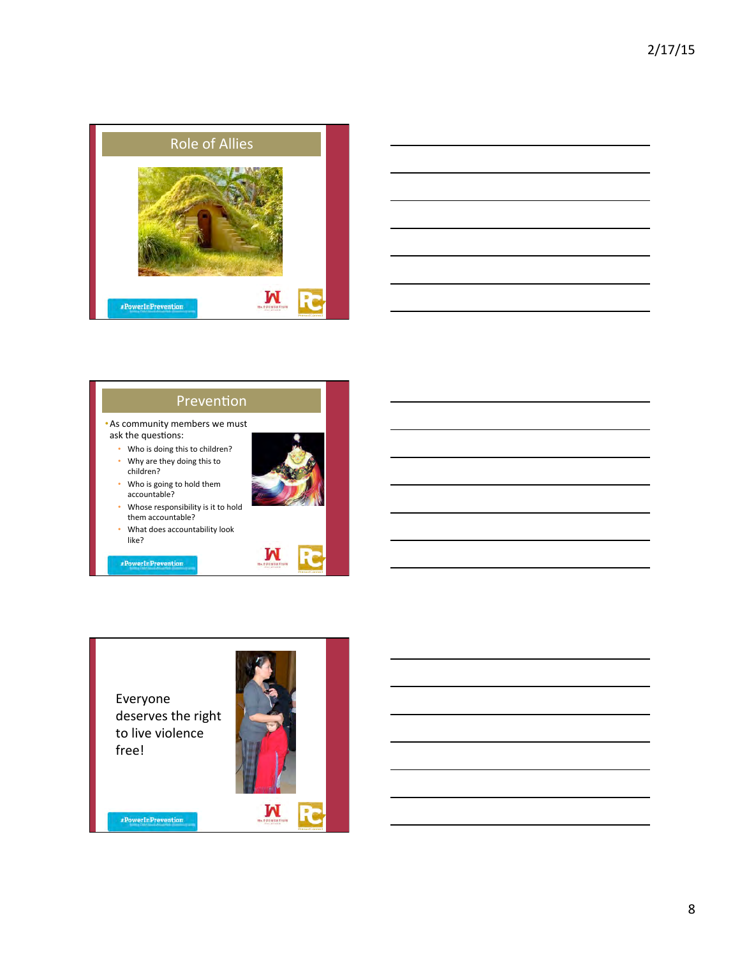



## Prevention

• As community members we must ask the questions:

- Who is doing this to children? • Why are they doing this to
- children?
- Who is going to hold them accountable?
- Whose responsibility is it to hold them accountable?
- What does accountability look like?

 ${\scriptstyle \#PowerInPrevention}$ 



Everyone deserves the right to live violence free! 

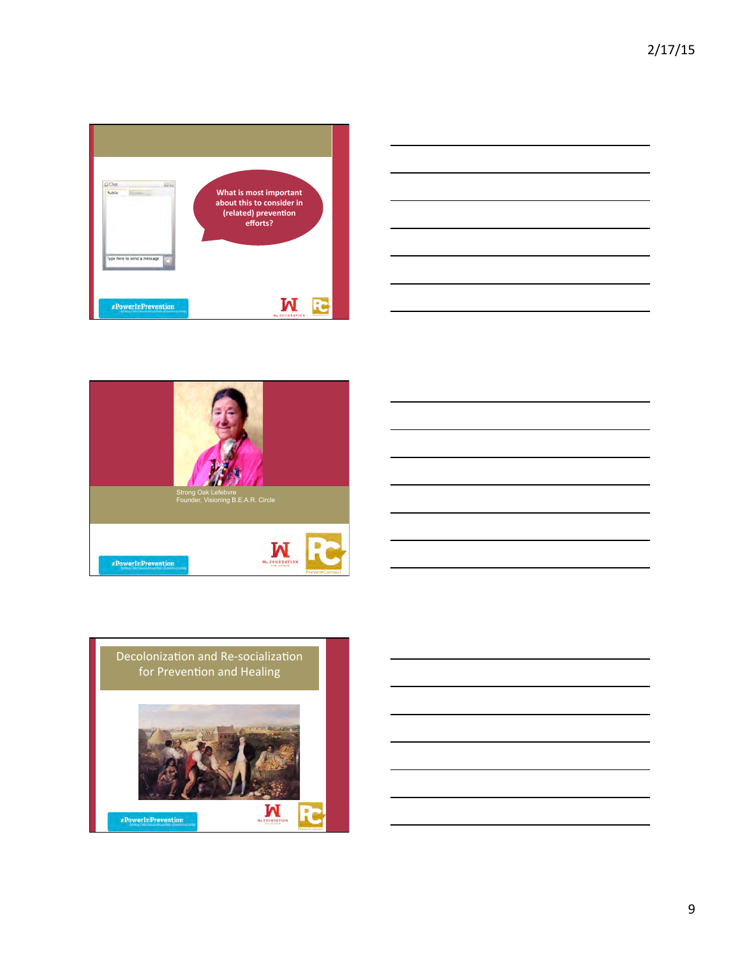







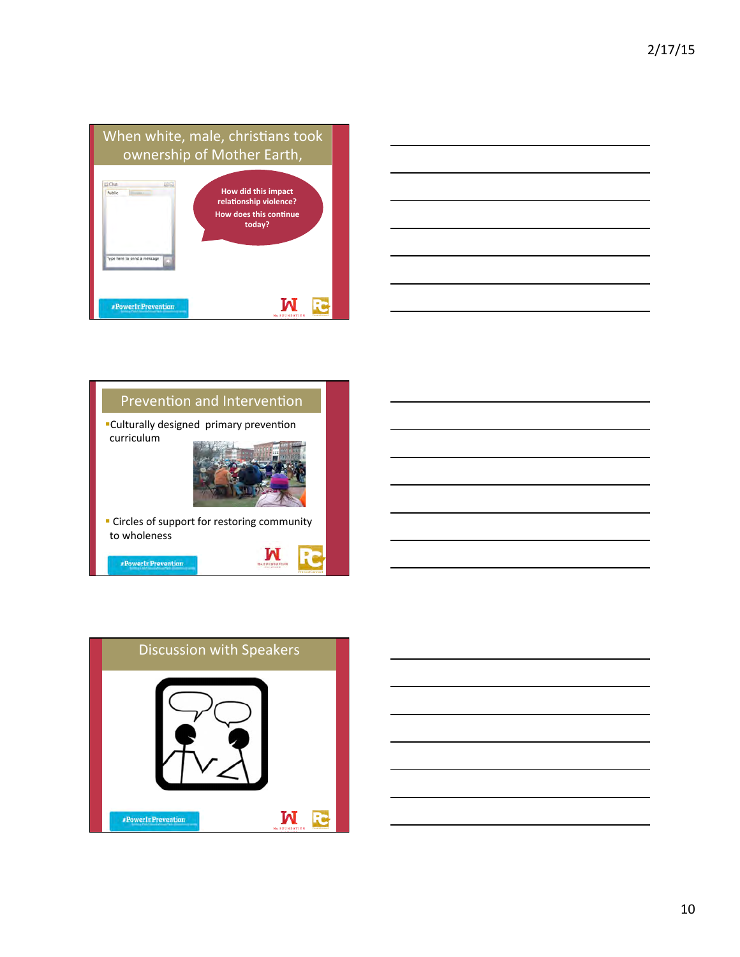







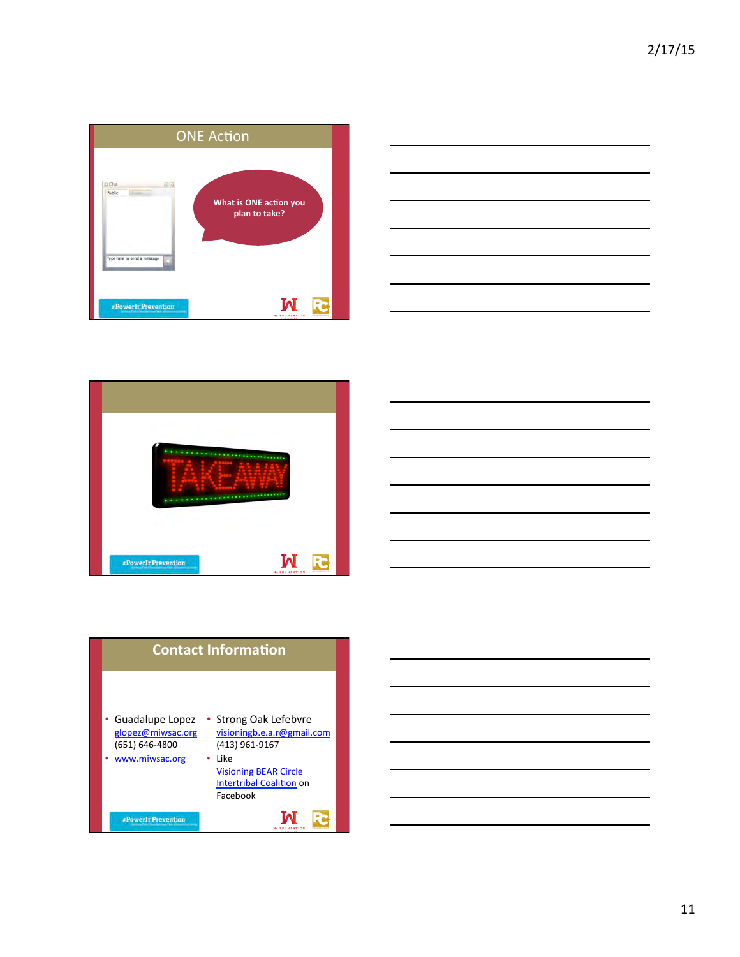